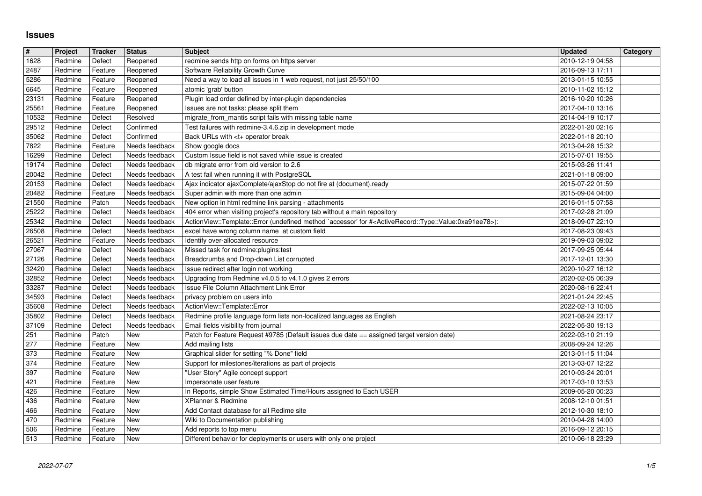## **Issues**

| $\vert$ #           | Project            | Tracker            | <b>Status</b>                    | <b>Subject</b>                                                                                                                               | <b>Updated</b>                       | Category |
|---------------------|--------------------|--------------------|----------------------------------|----------------------------------------------------------------------------------------------------------------------------------------------|--------------------------------------|----------|
| 1628<br>2487        | Redmine<br>Redmine | Defect<br>Feature  | Reopened<br>Reopened             | redmine sends http on forms on https server<br>Software Reliability Growth Curve                                                             | 2010-12-19 04:58<br>2016-09-13 17:11 |          |
| 5286                | Redmine            | Feature            | Reopened                         | Need a way to load all issues in 1 web request, not just 25/50/100                                                                           | 2013-01-15 10:55                     |          |
| 6645<br>23131       | Redmine<br>Redmine | Feature<br>Feature | Reopened<br>Reopened             | atomic 'grab' button<br>Plugin load order defined by inter-plugin dependencies                                                               | 2010-11-02 15:12<br>2016-10-20 10:26 |          |
| 25561               | Redmine            | Feature            | Reopened                         | Issues are not tasks: please split them                                                                                                      | 2017-04-10 13:16                     |          |
| 10532<br>29512      | Redmine<br>Redmine | Defect<br>Defect   | Resolved<br>Confirmed            | migrate_from_mantis script fails with missing table name<br>Test failures with redmine-3.4.6.zip in development mode                         | 2014-04-19 10:17<br>2022-01-20 02:16 |          |
| 35062               | Redmine            | Defect             | Confirmed                        | Back URLs with <t+ break<="" operator="" td=""><td>2022-01-18 20:10</td><td></td></t+>                                                       | 2022-01-18 20:10                     |          |
| 7822<br>16299       | Redmine<br>Redmine | Feature<br>Defect  | Needs feedback<br>Needs feedback | Show google docs<br>Custom Issue field is not saved while issue is created                                                                   | 2013-04-28 15:32<br>2015-07-01 19:55 |          |
| 19174               | Redmine            | Defect             | Needs feedback                   | db migrate error from old version to 2.6                                                                                                     | 2015-03-26 11:41                     |          |
| 20042<br>20153      | Redmine<br>Redmine | Defect<br>Defect   | Needs feedback<br>Needs feedback | A test fail when running it with PostgreSQL<br>Ajax indicator ajaxComplete/ajaxStop do not fire at (document).ready                          | 2021-01-18 09:00<br>2015-07-22 01:59 |          |
| 20482               | Redmine            | Feature            | Needs feedback                   | Super admin with more than one admin                                                                                                         | 2015-09-04 04:00                     |          |
| 21550<br>25222      | Redmine<br>Redmine | Patch<br>Defect    | Needs feedback<br>Needs feedback | New option in html redmine link parsing - attachments<br>404 error when visiting project's repository tab without a main repository          | 2016-01-15 07:58<br>2017-02-28 21:09 |          |
| 25342               | Redmine            | Defect             | Needs feedback                   | ActionView::Template::Error (undefined method `accessor' for # <activerecord::type::value:0xa91ee78>):</activerecord::type::value:0xa91ee78> | 2018-09-07 22:10                     |          |
| 26508<br>26521      | Redmine<br>Redmine | Defect<br>Feature  | Needs feedback<br>Needs feedback | excel have wrong column name at custom field<br>Identify over-allocated resource                                                             | 2017-08-23 09:43<br>2019-09-03 09:02 |          |
| 27067               | Redmine            | Defect             | Needs feedback                   | Missed task for redmine:plugins:test                                                                                                         | 2017-09-25 05:44                     |          |
| 27126<br>32420      | Redmine<br>Redmine | Defect<br>Defect   | Needs feedback<br>Needs feedback | Breadcrumbs and Drop-down List corrupted<br>Issue redirect after login not working                                                           | 2017-12-01 13:30<br>2020-10-27 16:12 |          |
| 32852               | Redmine            | Defect             | Needs feedback                   | Upgrading from Redmine v4.0.5 to v4.1.0 gives 2 errors                                                                                       | 2020-02-05 06:39                     |          |
| 33287<br>34593      | Redmine<br>Redmine | Defect<br>Defect   | Needs feedback<br>Needs feedback | Issue File Column Attachment Link Error<br>privacy problem on users info                                                                     | 2020-08-16 22:41<br>2021-01-24 22:45 |          |
| 35608               | Redmine            | Defect             | Needs feedback                   | ActionView::Template::Error                                                                                                                  | 2022-02-13 10:05                     |          |
| 35802<br>37109      | Redmine<br>Redmine | Defect<br>Defect   | Needs feedback<br>Needs feedback | Redmine profile language form lists non-localized languages as English<br>Email fields visibility from journal                               | 2021-08-24 23:17<br>2022-05-30 19:13 |          |
| 251                 | Redmine            | Patch              | <b>New</b>                       | Patch for Feature Request #9785 (Default issues due date == assigned target version date)                                                    | 2022-03-10 21:19                     |          |
| $\sqrt{277}$<br>373 | Redmine<br>Redmine | Feature<br>Feature | New<br><b>New</b>                | Add mailing lists<br>Graphical slider for setting "% Done" field                                                                             | 2008-09-24 12:26<br>2013-01-15 11:04 |          |
| 374                 | Redmine            | Feature            | New                              | Support for milestones/iterations as part of projects                                                                                        | 2013-03-07 12:22                     |          |
| 397<br>421          | Redmine<br>Redmine | Feature<br>Feature | New<br><b>New</b>                | "User Story" Agile concept support<br>Impersonate user feature                                                                               | 2010-03-24 20:01<br>2017-03-10 13:53 |          |
| 426                 | Redmine            | Feature            | <b>New</b>                       | In Reports, simple Show Estimated Time/Hours assigned to Each USER                                                                           | 2009-05-20 00:23                     |          |
| 436<br>466          | Redmine<br>Redmine | Feature<br>Feature | <b>New</b><br>New                | XPlanner & Redmine<br>Add Contact database for all Redime site                                                                               | 2008-12-10 01:51<br>2012-10-30 18:10 |          |
| $\frac{470}{506}$   | Redmine            | Feature            | New                              | Wiki to Documentation publishing                                                                                                             | 2010-04-28 14:00                     |          |
| 513                 | Redmine<br>Redmine | Feature<br>Feature | <b>New</b><br>New                | Add reports to top menu<br>Different behavior for deployments or users with only one project                                                 | 2016-09-12 20:15<br>2010-06-18 23:29 |          |
|                     |                    |                    |                                  |                                                                                                                                              |                                      |          |
|                     |                    |                    |                                  |                                                                                                                                              |                                      |          |
|                     |                    |                    |                                  |                                                                                                                                              |                                      |          |
|                     |                    |                    |                                  |                                                                                                                                              |                                      |          |
|                     |                    |                    |                                  |                                                                                                                                              |                                      |          |
|                     |                    |                    |                                  |                                                                                                                                              |                                      |          |
|                     |                    |                    |                                  |                                                                                                                                              |                                      |          |
|                     |                    |                    |                                  |                                                                                                                                              |                                      |          |
|                     |                    |                    |                                  |                                                                                                                                              |                                      |          |
|                     |                    |                    |                                  |                                                                                                                                              |                                      |          |
|                     |                    |                    |                                  |                                                                                                                                              |                                      |          |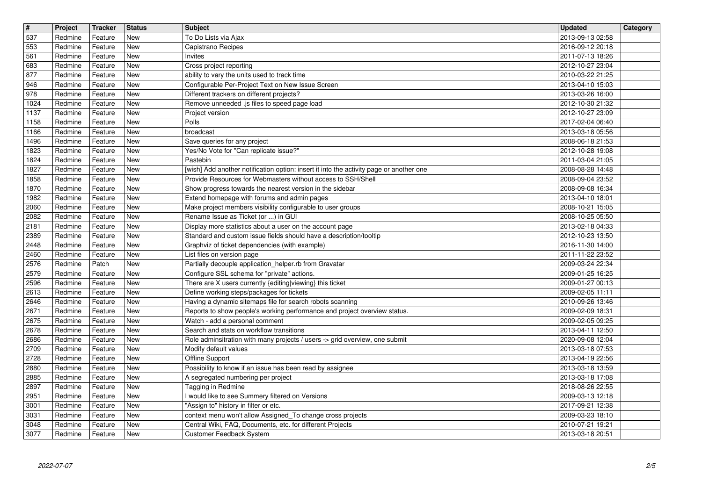| $\overline{\mathbf{t}}$<br>537 | Project<br>Redmine | Tracker<br>Feature | <b>Status</b><br><b>New</b>            | <b>Subject</b><br>To Do Lists via Ajax                                                                                                 | <b>Updated</b><br>2013-09-13 02:58   | Category |
|--------------------------------|--------------------|--------------------|----------------------------------------|----------------------------------------------------------------------------------------------------------------------------------------|--------------------------------------|----------|
| 553                            | Redmine            | Feature            | New                                    | Capistrano Recipes                                                                                                                     | 2016-09-12 20:18                     |          |
| 561<br>683                     | Redmine<br>Redmine | Feature<br>Feature | New<br>New                             | Invites<br>Cross project reporting                                                                                                     | 2011-07-13 18:26<br>2012-10-27 23:04 |          |
| 877                            | Redmine            | Feature            | New                                    | ability to vary the units used to track time                                                                                           | 2010-03-22 21:25                     |          |
| 946<br>978                     | Redmine<br>Redmine | Feature<br>Feature | New<br>New                             | Configurable Per-Project Text on New Issue Screen<br>Different trackers on different projects?                                         | 2013-04-10 15:03<br>2013-03-26 16:00 |          |
| 1024<br>1137                   | Redmine<br>Redmine | Feature<br>Feature | <b>New</b><br><b>New</b>               | Remove unneeded .js files to speed page load<br>Project version                                                                        | 2012-10-30 21:32<br>2012-10-27 23:09 |          |
| 1158                           | Redmine            | Feature            | New                                    | Polls                                                                                                                                  | 2017-02-04 06:40                     |          |
| 1166<br>1496                   | Redmine<br>Redmine | Feature<br>Feature | New<br><b>New</b>                      | broadcast<br>Save queries for any project                                                                                              | 2013-03-18 05:56<br>2008-06-18 21:53 |          |
| 1823<br>1824                   | Redmine<br>Redmine | Feature<br>Feature | New<br>New                             | Yes/No Vote for "Can replicate issue?"<br>Pastebin                                                                                     | 2012-10-28 19:08<br>2011-03-04 21:05 |          |
| 1827                           | Redmine            | Feature            | New                                    | [wish] Add another notification option: insert it into the activity page or another one                                                | 2008-08-28 14:48                     |          |
| 1858<br>1870                   | Redmine<br>Redmine | Feature<br>Feature | New<br>New                             | Provide Resources for Webmasters without access to SSH/Shell<br>Show progress towards the nearest version in the sidebar               | 2008-09-04 23:52<br>2008-09-08 16:34 |          |
| 1982<br>2060                   | Redmine<br>Redmine | Feature<br>Feature | <b>New</b><br><b>New</b>               | Extend homepage with forums and admin pages<br>Make project members visibility configurable to user groups                             | 2013-04-10 18:01<br>2008-10-21 15:05 |          |
| 2082                           | Redmine            | Feature            | New                                    | Rename Issue as Ticket (or ) in GUI                                                                                                    | 2008-10-25 05:50                     |          |
| 2181<br>2389                   | Redmine<br>Redmine | Feature<br>Feature | New<br>New                             | Display more statistics about a user on the account page<br>Standard and custom issue fields should have a description/tooltip         | 2013-02-18 04:33<br>2012-10-23 13:50 |          |
| 2448<br>2460                   | Redmine<br>Redmine | Feature<br>Feature | New<br>New                             | Graphviz of ticket dependencies (with example)<br>List files on version page                                                           | 2016-11-30 14:00<br>2011-11-22 23:52 |          |
| 2576                           | Redmine            | Patch              | New                                    | Partially decouple application_helper.rb from Gravatar                                                                                 | 2009-03-24 22:34                     |          |
| 2579<br>2596                   | Redmine<br>Redmine | Feature<br>Feature | New<br><b>New</b>                      | Configure SSL schema for "private" actions.<br>There are X users currently {editing viewing} this ticket                               | 2009-01-25 16:25<br>2009-01-27 00:13 |          |
| 2613                           | Redmine            | Feature            | New                                    | Define working steps/packages for tickets                                                                                              | 2009-02-05 11:11                     |          |
| 2646<br>2671                   | Redmine<br>Redmine | Feature<br>Feature | New<br>New                             | Having a dynamic sitemaps file for search robots scanning<br>Reports to show people's working performance and project overview status. | 2010-09-26 13:46<br>2009-02-09 18:31 |          |
| 2675                           | Redmine            | Feature            | New<br>New                             | Watch - add a personal comment<br>Search and stats on workflow transitions                                                             | 2009-02-05 09:25                     |          |
| 2678<br>2686                   | Redmine<br>Redmine | Feature<br>Feature | New                                    | Role adminsitration with many projects / users -> grid overview, one submit                                                            | 2013-04-11 12:50<br>2020-09-08 12:04 |          |
| 2709<br>2728                   | Redmine<br>Redmine | Feature<br>Feature | New<br><b>New</b>                      | Modify default values<br>Offline Support                                                                                               | 2013-03-18 07:53<br>2013-04-19 22:56 |          |
| 2880                           | Redmine            | Feature            | <b>New</b>                             | Possibility to know if an issue has been read by assignee                                                                              | 2013-03-18 13:59                     |          |
| 2885<br>2897                   | Redmine<br>Redmine | Feature<br>Feature | <b>New</b><br>New                      | A segregated numbering per project<br>Tagging in Redmine                                                                               | 2013-03-18 17:08<br>2018-08-26 22:55 |          |
| 2951<br>3001                   | Redmine<br>Redmine | Feature<br>Feature | $\sqrt{\phantom{a}}$ New<br><b>New</b> | I would like to see Summery filtered on Versions<br>"Assign to" history in filter or etc.                                              | 2009-03-13 12:18<br>2017-09-21 12:38 |          |
| 3031                           | Redmine            | Feature            | New                                    | context menu won't allow Assigned_To change cross projects                                                                             | 2009-03-23 18:10                     |          |
| 3048<br>3077                   | Redmine<br>Redmine | Feature<br>Feature | New<br>New                             | Central Wiki, FAQ, Documents, etc. for different Projects<br>Customer Feedback System                                                  | 2010-07-21 19:21<br>2013-03-18 20:51 |          |
|                                |                    |                    |                                        |                                                                                                                                        |                                      |          |
|                                |                    |                    |                                        |                                                                                                                                        |                                      |          |
|                                |                    |                    |                                        |                                                                                                                                        |                                      |          |
|                                |                    |                    |                                        |                                                                                                                                        |                                      |          |
|                                |                    |                    |                                        |                                                                                                                                        |                                      |          |
|                                |                    |                    |                                        |                                                                                                                                        |                                      |          |
|                                |                    |                    |                                        |                                                                                                                                        |                                      |          |
|                                |                    |                    |                                        |                                                                                                                                        |                                      |          |
|                                |                    |                    |                                        |                                                                                                                                        |                                      |          |
|                                |                    |                    |                                        |                                                                                                                                        |                                      |          |
|                                |                    |                    |                                        |                                                                                                                                        |                                      |          |
|                                |                    |                    |                                        |                                                                                                                                        |                                      |          |
|                                |                    |                    |                                        |                                                                                                                                        |                                      |          |
|                                |                    |                    |                                        |                                                                                                                                        |                                      |          |
|                                |                    |                    |                                        |                                                                                                                                        |                                      |          |
|                                |                    |                    |                                        |                                                                                                                                        |                                      |          |
|                                |                    |                    |                                        |                                                                                                                                        |                                      |          |
|                                |                    |                    |                                        |                                                                                                                                        |                                      |          |
|                                |                    |                    |                                        |                                                                                                                                        |                                      |          |
|                                |                    |                    |                                        |                                                                                                                                        |                                      |          |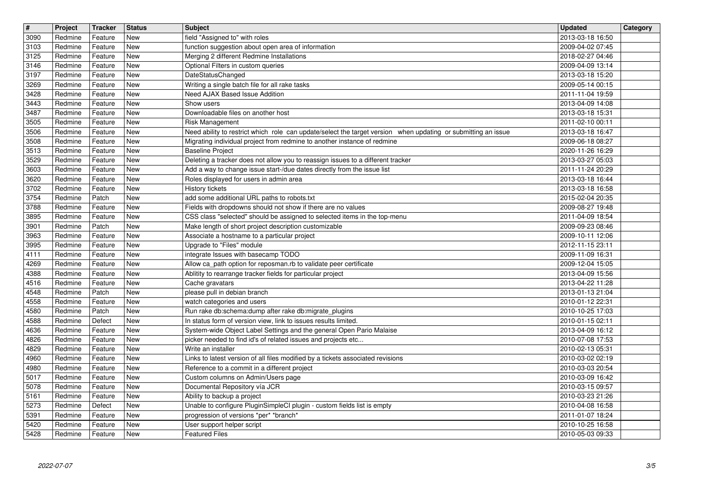| $\boxed{\texttt{#}}$<br>3090 | Project<br>Redmine | <b>Tracker</b><br>Feature | <b>Status</b><br><b>New</b> | <b>Subject</b><br>field "Assigned to" with roles                                                                                                                                          | <b>Updated</b><br>2013-03-18 16:50   | Category |
|------------------------------|--------------------|---------------------------|-----------------------------|-------------------------------------------------------------------------------------------------------------------------------------------------------------------------------------------|--------------------------------------|----------|
| 3103                         | Redmine            | Feature                   | New                         | function suggestion about open area of information                                                                                                                                        | 2009-04-02 07:45                     |          |
| 3125<br>3146                 | Redmine<br>Redmine | Feature<br>Feature        | <b>New</b><br>New           | Merging 2 different Redmine Installations<br>Optional Filters in custom queries                                                                                                           | 2018-02-27 04:46<br>2009-04-09 13:14 |          |
| 3197<br>3269                 | Redmine<br>Redmine | Feature<br>Feature        | New<br>New                  | DateStatusChanged<br>Writing a single batch file for all rake tasks                                                                                                                       | 2013-03-18 15:20<br>2009-05-14 00:15 |          |
| 3428                         | Redmine            | Feature                   | New                         | Need AJAX Based Issue Addition                                                                                                                                                            | 2011-11-04 19:59                     |          |
| 3443<br>3487                 | Redmine<br>Redmine | Feature<br>Feature        | New<br><b>New</b>           | Show users<br>Downloadable files on another host                                                                                                                                          | 2013-04-09 14:08<br>2013-03-18 15:31 |          |
| 3505                         | Redmine            | Feature                   | <b>New</b><br><b>New</b>    | Risk Management                                                                                                                                                                           | 2011-02-10 00:11                     |          |
| 3506<br>3508                 | Redmine<br>Redmine | Feature<br>Feature        | New                         | Need ability to restrict which role can update/select the target version when updating or submitting an issue<br>Migrating individual project from redmine to another instance of redmine | 2013-03-18 16:47<br>2009-06-18 08:27 |          |
| 3513<br>3529                 | Redmine<br>Redmine | Feature<br>Feature        | New<br>New                  | Baseline Project<br>Deleting a tracker does not allow you to reassign issues to a different tracker                                                                                       | 2020-11-26 16:29<br>2013-03-27 05:03 |          |
| 3603                         | Redmine            | Feature                   | New                         | Add a way to change issue start-/due dates directly from the issue list                                                                                                                   | 2011-11-24 20:29                     |          |
| 3620<br>3702                 | Redmine<br>Redmine | Feature<br>Feature        | New<br>New                  | Roles displayed for users in admin area<br><b>History tickets</b>                                                                                                                         | 2013-03-18 16:44<br>2013-03-18 16:58 |          |
| 3754<br>3788                 | Redmine<br>Redmine | Patch<br>Feature          | <b>New</b><br><b>New</b>    | add some additional URL paths to robots.txt<br>Fields with dropdowns should not show if there are no values                                                                               | 2015-02-04 20:35<br>2009-08-27 19:48 |          |
| 3895                         | Redmine            | Feature                   | New                         | CSS class "selected" should be assigned to selected items in the top-menu                                                                                                                 | 2011-04-09 18:54                     |          |
| 3901<br>3963                 | Redmine<br>Redmine | Patch<br>Feature          | <b>New</b><br>New           | Make length of short project description customizable<br>Associate a hostname to a particular project                                                                                     | 2009-09-23 08:46<br>2009-10-11 12:06 |          |
| 3995<br>4111                 | Redmine<br>Redmine | Feature<br>Feature        | New<br>New                  | Upgrade to "Files" module<br>integrate Issues with basecamp TODO                                                                                                                          | 2012-11-15 23:11<br>2009-11-09 16:31 |          |
| 4269                         | Redmine            | Feature                   | New                         | Allow ca_path option for reposman.rb to validate peer certificate                                                                                                                         | 2009-12-04 15:05                     |          |
| 4388<br>4516                 | Redmine<br>Redmine | Feature<br>Feature        | New<br><b>New</b>           | Ablitity to rearrange tracker fields for particular project<br>Cache gravatars                                                                                                            | 2013-04-09 15:56<br>2013-04-22 11:28 |          |
| 4548                         | Redmine            | Patch                     | <b>New</b><br><b>New</b>    | please pull in debian branch                                                                                                                                                              | 2013-01-13 21:04                     |          |
| 4558<br>4580                 | Redmine<br>Redmine | Feature<br>Patch          | <b>New</b>                  | watch categories and users<br>Run rake db:schema:dump after rake db:migrate_plugins                                                                                                       | 2010-01-12 22:31<br>2010-10-25 17:03 |          |
| 4588<br>4636                 | Redmine<br>Redmine | Defect<br>Feature         | New<br>New                  | In status form of version view, link to issues results limited.<br>System-wide Object Label Settings and the general Open Pario Malaise                                                   | 2010-01-15 02:11<br>2013-04-09 16:12 |          |
| 4826                         | Redmine            | Feature                   | New                         | picker needed to find id's of related issues and projects etc                                                                                                                             | 2010-07-08 17:53                     |          |
| 4829<br>4960                 | Redmine<br>Redmine | Feature<br>Feature        | New<br><b>New</b>           | Write an installer<br>Links to latest version of all files modified by a tickets associated revisions                                                                                     | 2010-02-13 05:31<br>2010-03-02 02:19 |          |
| 4980<br>5017                 | Redmine<br>Redmine | Feature<br>Feature        | New<br><b>New</b>           | Reference to a commit in a different project<br>Custom columns on Admin/Users page                                                                                                        | 2010-03-03 20:54<br>2010-03-09 16:42 |          |
| 5078                         | Redmine            | Feature                   | New                         | Documental Repository vía JCR                                                                                                                                                             | 2010-03-15 09:57                     |          |
| $\frac{5161}{5273}$          | Redmine<br>Redmine | Feature<br>Defect         | New<br><b>New</b>           | Ability to backup a project<br>Unable to configure PluginSimpleCI plugin - custom fields list is empty                                                                                    | 2010-03-23 21:26<br>2010-04-08 16:58 |          |
| 5391                         | Redmine            | Feature                   | New                         | progression of versions *per* *branch*                                                                                                                                                    | 2011-01-07 18:24                     |          |
| 5420<br>5428                 | Redmine<br>Redmine | Feature<br>Feature        | New<br>New                  | User support helper script<br><b>Featured Files</b>                                                                                                                                       | 2010-10-25 16:58<br>2010-05-03 09:33 |          |
|                              |                    |                           |                             |                                                                                                                                                                                           |                                      |          |
|                              |                    |                           |                             |                                                                                                                                                                                           |                                      |          |
|                              |                    |                           |                             |                                                                                                                                                                                           |                                      |          |
|                              |                    |                           |                             |                                                                                                                                                                                           |                                      |          |
|                              |                    |                           |                             |                                                                                                                                                                                           |                                      |          |
|                              |                    |                           |                             |                                                                                                                                                                                           |                                      |          |
|                              |                    |                           |                             |                                                                                                                                                                                           |                                      |          |
|                              |                    |                           |                             |                                                                                                                                                                                           |                                      |          |
|                              |                    |                           |                             |                                                                                                                                                                                           |                                      |          |
|                              |                    |                           |                             |                                                                                                                                                                                           |                                      |          |
|                              |                    |                           |                             |                                                                                                                                                                                           |                                      |          |
|                              |                    |                           |                             |                                                                                                                                                                                           |                                      |          |
|                              |                    |                           |                             |                                                                                                                                                                                           |                                      |          |
|                              |                    |                           |                             |                                                                                                                                                                                           |                                      |          |
|                              |                    |                           |                             |                                                                                                                                                                                           |                                      |          |
|                              |                    |                           |                             |                                                                                                                                                                                           |                                      |          |
|                              |                    |                           |                             |                                                                                                                                                                                           |                                      |          |
|                              |                    |                           |                             |                                                                                                                                                                                           |                                      |          |
|                              |                    |                           |                             |                                                                                                                                                                                           |                                      |          |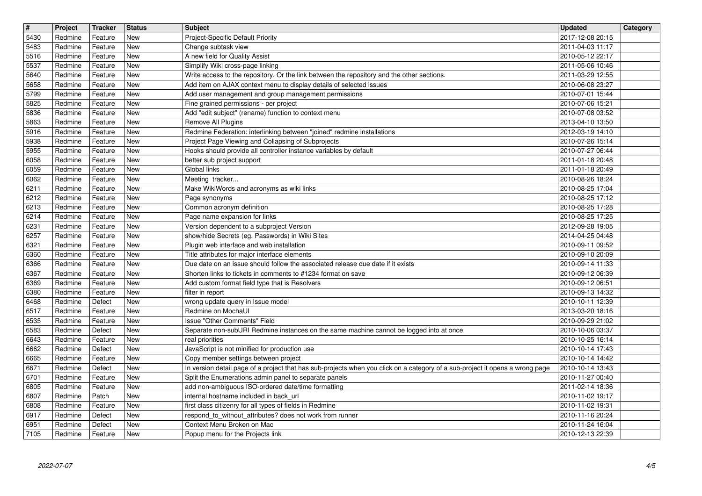| $\overline{\mathbf{H}}$ | Project            | Tracker            | <b>Status</b><br>New     | <b>Subject</b>                                                                                                                                                        | <b>Updated</b><br>2017-12-08 20:15   | Category |
|-------------------------|--------------------|--------------------|--------------------------|-----------------------------------------------------------------------------------------------------------------------------------------------------------------------|--------------------------------------|----------|
| 5430<br>5483            | Redmine<br>Redmine | Feature<br>Feature | <b>New</b>               | Project-Specific Default Priority<br>Change subtask view                                                                                                              | 2011-04-03 11:17                     |          |
| 5516<br>5537            | Redmine<br>Redmine | Feature<br>Feature | <b>New</b><br><b>New</b> | A new field for Quality Assist<br>Simplify Wiki cross-page linking                                                                                                    | 2010-05-12 22:17<br>2011-05-06 10:46 |          |
| 5640                    | Redmine            | Feature            | <b>New</b>               | Write access to the repository. Or the link between the repository and the other sections.                                                                            | 2011-03-29 12:55                     |          |
| 5658<br>5799            | Redmine<br>Redmine | Feature<br>Feature | <b>New</b><br><b>New</b> | Add item on AJAX context menu to display details of selected issues<br>Add user management and group management permissions                                           | 2010-06-08 23:27<br>2010-07-01 15:44 |          |
| 5825                    | Redmine            | Feature            | <b>New</b>               | Fine grained permissions - per project                                                                                                                                | 2010-07-06 15:21                     |          |
| 5836<br>5863            | Redmine<br>Redmine | Feature<br>Feature | New<br>New               | Add "edit subject" (rename) function to context menu<br>Remove All Plugins                                                                                            | 2010-07-08 03:52<br>2013-04-10 13:50 |          |
| 5916                    | Redmine            | Feature            | <b>New</b>               | Redmine Federation: interlinking between "joined" redmine installations                                                                                               | 2012-03-19 14:10                     |          |
| 5938<br>5955            | Redmine<br>Redmine | Feature<br>Feature | <b>New</b><br><b>New</b> | Project Page Viewing and Collapsing of Subprojects<br>Hooks should provide all controller instance variables by default                                               | 2010-07-26 15:14<br>2010-07-27 06:44 |          |
| 6058                    | Redmine            | Feature            | New<br><b>New</b>        | better sub project support                                                                                                                                            | 2011-01-18 20:48                     |          |
| 6059<br>6062            | Redmine<br>Redmine | Feature<br>Feature | New                      | Global links<br>Meeting tracker                                                                                                                                       | 2011-01-18 20:49<br>2010-08-26 18:24 |          |
| 6211<br>6212            | Redmine<br>Redmine | Feature<br>Feature | New<br>New               | Make WikiWords and acronyms as wiki links<br>Page synonyms                                                                                                            | 2010-08-25 17:04<br>2010-08-25 17:12 |          |
| 6213                    | Redmine            | Feature            | <b>New</b>               | Common acronym definition                                                                                                                                             | 2010-08-25 17:28                     |          |
| 6214<br>6231            | Redmine<br>Redmine | Feature<br>Feature | <b>New</b><br><b>New</b> | Page name expansion for links<br>Version dependent to a subproject Version                                                                                            | 2010-08-25 17:25<br>2012-09-28 19:05 |          |
| 6257                    | Redmine            | Feature            | <b>New</b>               | show/hide Secrets (eg. Passwords) in Wiki Sites                                                                                                                       | 2014-04-25 04:48                     |          |
| 6321<br>6360            | Redmine<br>Redmine | Feature<br>Feature | New<br><b>New</b>        | Plugin web interface and web installation<br>Title attributes for major interface elements                                                                            | 2010-09-11 09:52<br>2010-09-10 20:09 |          |
| 6366                    | Redmine            | Feature            | <b>New</b>               | Due date on an issue should follow the associated release due date if it exists                                                                                       | 2010-09-14 11:33                     |          |
| 6367<br>6369            | Redmine<br>Redmine | Feature<br>Feature | <b>New</b><br>New        | Shorten links to tickets in comments to #1234 format on save<br>Add custom format field type that is Resolvers                                                        | 2010-09-12 06:39<br>2010-09-12 06:51 |          |
| 6380                    | Redmine            | Feature            | <b>New</b>               | filter in report                                                                                                                                                      | 2010-09-13 14:32                     |          |
| 6468<br>6517            | Redmine<br>Redmine | Defect<br>Feature  | <b>New</b><br><b>New</b> | wrong update query in Issue model<br>Redmine on MochaUI                                                                                                               | 2010-10-11 12:39<br>2013-03-20 18:16 |          |
| 6535                    | Redmine            | Feature            | <b>New</b>               | Issue "Other Comments" Field                                                                                                                                          | 2010-09-29 21:02                     |          |
| 6583<br>6643            | Redmine<br>Redmine | Defect<br>Feature  | <b>New</b><br>New        | Separate non-subURI Redmine instances on the same machine cannot be logged into at once<br>real priorities                                                            | 2010-10-06 03:37<br>2010-10-25 16:14 |          |
| 6662                    | Redmine            | Defect             | <b>New</b>               | JavaScript is not minified for production use                                                                                                                         | 2010-10-14 17:43                     |          |
| 6665<br>6671            | Redmine<br>Redmine | Feature<br>Defect  | <b>New</b><br>New        | Copy member settings between project<br>In version detail page of a project that has sub-projects when you click on a category of a sub-project it opens a wrong page | 2010-10-14 14:42<br>2010-10-14 13:43 |          |
| 6701                    | Redmine            | Feature            | New                      | Split the Enumerations admin panel to separate panels                                                                                                                 | 2010-11-27 00:40                     |          |
| 6805<br>6807            | Redmine<br>Redmine | Feature<br>Patch   | New<br>New               | add non-ambiguous ISO-ordered date/time formatting<br>internal hostname included in back_url                                                                          | 2011-02-14 18:36<br>2010-11-02 19:17 |          |
| 6808                    | Redmine            | Feature            | New                      | first class citizenry for all types of fields in Redmine<br>respond_to_without_attributes? does not work from runner                                                  | 2010-11-02 19:31                     |          |
| 6917<br>6951            | Redmine<br>Redmine | Defect<br>Defect   | New<br>New               | Context Menu Broken on Mac                                                                                                                                            | 2010-11-16 20:24<br>2010-11-24 16:04 |          |
| 7105                    | Redmine            | Feature            | New                      | Popup menu for the Projects link                                                                                                                                      | 2010-12-13 22:39                     |          |
|                         |                    |                    |                          |                                                                                                                                                                       |                                      |          |
|                         |                    |                    |                          |                                                                                                                                                                       |                                      |          |
|                         |                    |                    |                          |                                                                                                                                                                       |                                      |          |
|                         |                    |                    |                          |                                                                                                                                                                       |                                      |          |
|                         |                    |                    |                          |                                                                                                                                                                       |                                      |          |
|                         |                    |                    |                          |                                                                                                                                                                       |                                      |          |
|                         |                    |                    |                          |                                                                                                                                                                       |                                      |          |
|                         |                    |                    |                          |                                                                                                                                                                       |                                      |          |
|                         |                    |                    |                          |                                                                                                                                                                       |                                      |          |
|                         |                    |                    |                          |                                                                                                                                                                       |                                      |          |
|                         |                    |                    |                          |                                                                                                                                                                       |                                      |          |
|                         |                    |                    |                          |                                                                                                                                                                       |                                      |          |
|                         |                    |                    |                          |                                                                                                                                                                       |                                      |          |
|                         |                    |                    |                          |                                                                                                                                                                       |                                      |          |
|                         |                    |                    |                          |                                                                                                                                                                       |                                      |          |
|                         |                    |                    |                          |                                                                                                                                                                       |                                      |          |
|                         |                    |                    |                          |                                                                                                                                                                       |                                      |          |
|                         |                    |                    |                          |                                                                                                                                                                       |                                      |          |
|                         |                    |                    |                          |                                                                                                                                                                       |                                      |          |
|                         |                    |                    |                          |                                                                                                                                                                       |                                      |          |
|                         |                    |                    |                          |                                                                                                                                                                       |                                      |          |
|                         |                    |                    |                          |                                                                                                                                                                       |                                      |          |
|                         |                    |                    |                          |                                                                                                                                                                       |                                      |          |
|                         |                    |                    |                          |                                                                                                                                                                       |                                      |          |
|                         |                    |                    |                          |                                                                                                                                                                       |                                      |          |
|                         |                    |                    |                          |                                                                                                                                                                       |                                      |          |
|                         |                    |                    |                          |                                                                                                                                                                       |                                      |          |
|                         |                    |                    |                          |                                                                                                                                                                       |                                      |          |
|                         |                    |                    |                          |                                                                                                                                                                       |                                      |          |
|                         |                    |                    |                          |                                                                                                                                                                       |                                      |          |
|                         |                    |                    |                          |                                                                                                                                                                       |                                      |          |
|                         |                    |                    |                          |                                                                                                                                                                       |                                      |          |
|                         |                    |                    |                          |                                                                                                                                                                       |                                      |          |
|                         |                    |                    |                          |                                                                                                                                                                       |                                      |          |